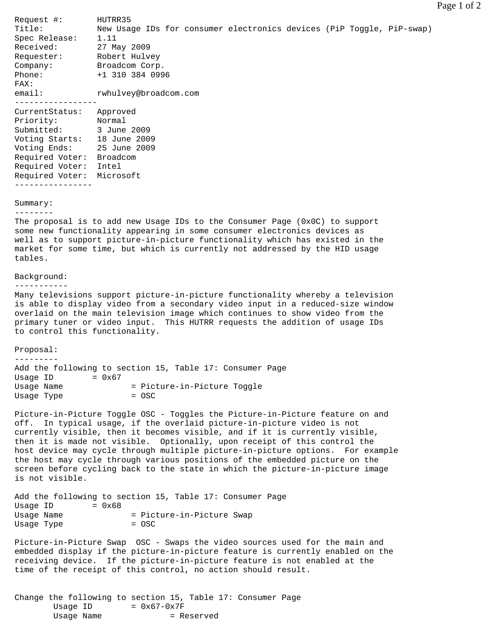Request #: HUTRR35 New Usage IDs for consumer electronics devices (PiP Toggle, PiP-swap) Spec Release: 1.11 Received: 27 May 2009 Requester: Robert Hulvey Company: Broadcom Corp. Phone: +1 310 384 0996 FAX: email: rwhulvey@broadcom.com ----------------- CurrentStatus: Approved Priority: Normal Submitted: 3 June 2009 Voting Starts: 18 June 2009 Voting Ends: 25 June 2009 Required Voter: Broadcom Required Voter: Intel Required Voter: Microsoft ---------------- Summary: -------- The proposal is to add new Usage IDs to the Consumer Page (0x0C) to support some new functionality appearing in some consumer electronics devices as well as to support picture-in-picture functionality which has existed in the market for some time, but which is currently not addressed by the HID usage tables. Background: ----------- Many televisions support picture-in-picture functionality whereby a television is able to display video from a secondary video input in a reduced-size window overlaid on the main television image which continues to show video from the primary tuner or video input. This HUTRR requests the addition of usage IDs to control this functionality. Proposal: --------- Add the following to section 15, Table 17: Consumer Page Usage ID  $= 0x67$ Usage Name  $=$  Picture-in-Picture Toggle Usage Type  $=$  OSC Picture-in-Picture Toggle OSC - Toggles the Picture-in-Picture feature on and off. In typical usage, if the overlaid picture-in-picture video is not currently visible, then it becomes visible, and if it is currently visible, then it is made not visible. Optionally, upon receipt of this control the host device may cycle through multiple picture-in-picture options. For example the host may cycle through various positions of the embedded picture on the screen before cycling back to the state in which the picture-in-picture image is not visible. Add the following to section 15, Table 17: Consumer Page Usage ID  $= 0x68$ Usage Name  $=$  Picture-in-Picture Swap Usage Type  $=$  OSC Picture-in-Picture Swap OSC - Swaps the video sources used for the main and embedded display if the picture-in-picture feature is currently enabled on the receiving device. If the picture-in-picture feature is not enabled at the

Change the following to section 15, Table 17: Consumer Page Usage ID  $= 0x67-0x7F$ Usage Name  $=$  Reserved

time of the receipt of this control, no action should result.